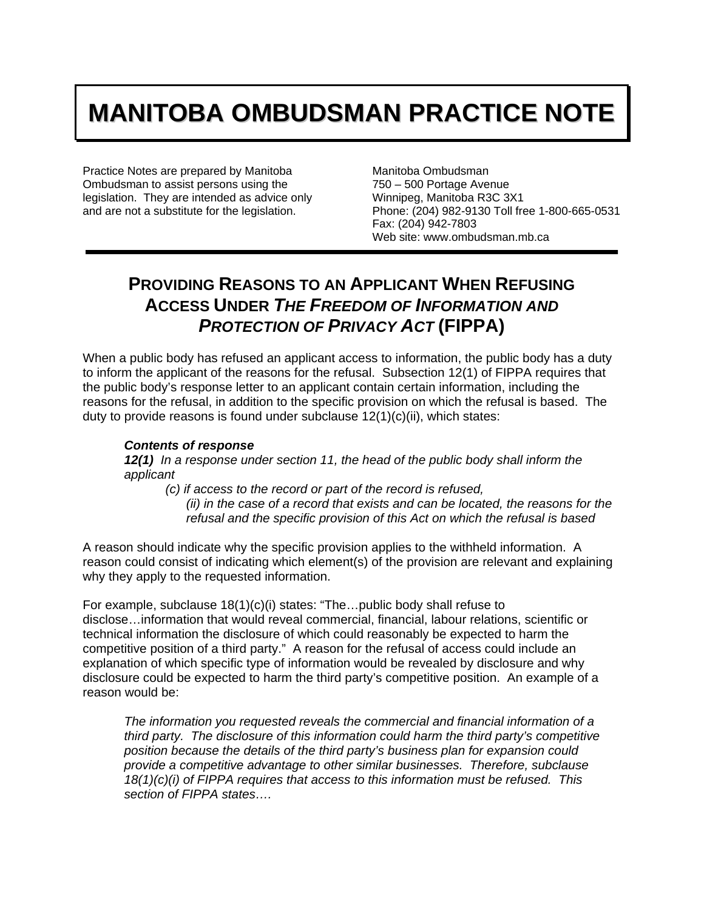## **MANITOBA OMBUDSMAN PRACTICE NOTE**

Practice Notes are prepared by Manitoba Ombudsman to assist persons using the legislation. They are intended as advice only and are not a substitute for the legislation.

Manitoba Ombudsman 750 – 500 Portage Avenue Winnipeg, Manitoba R3C 3X1 Phone: (204) 982-9130 Toll free 1-800-665-0531 Fax: (204) 942-7803 Web site: www.ombudsman.mb.ca

## **PROVIDING REASONS TO AN APPLICANT WHEN REFUSING ACCESS UNDER** *THE FREEDOM OF INFORMATION AND PROTECTION OF PRIVACY ACT* **(FIPPA)**

When a public body has refused an applicant access to information, the public body has a duty to inform the applicant of the reasons for the refusal. Subsection 12(1) of FIPPA requires that the public body's response letter to an applicant contain certain information, including the reasons for the refusal, in addition to the specific provision on which the refusal is based. The duty to provide reasons is found under subclause 12(1)(c)(ii), which states:

## *Contents of response*

*12(1) In a response under section 11, the head of the public body shall inform the applicant* 

*(c) if access to the record or part of the record is refused,* 

*(ii) in the case of a record that exists and can be located, the reasons for the refusal and the specific provision of this Act on which the refusal is based*

A reason should indicate why the specific provision applies to the withheld information. A reason could consist of indicating which element(s) of the provision are relevant and explaining why they apply to the requested information.

For example, subclause 18(1)(c)(i) states: "The…public body shall refuse to disclose…information that would reveal commercial, financial, labour relations, scientific or technical information the disclosure of which could reasonably be expected to harm the competitive position of a third party." A reason for the refusal of access could include an explanation of which specific type of information would be revealed by disclosure and why disclosure could be expected to harm the third party's competitive position. An example of a reason would be:

*The information you requested reveals the commercial and financial information of a third party. The disclosure of this information could harm the third party's competitive position because the details of the third party's business plan for expansion could provide a competitive advantage to other similar businesses. Therefore, subclause 18(1)(c)(i) of FIPPA requires that access to this information must be refused. This section of FIPPA states….*